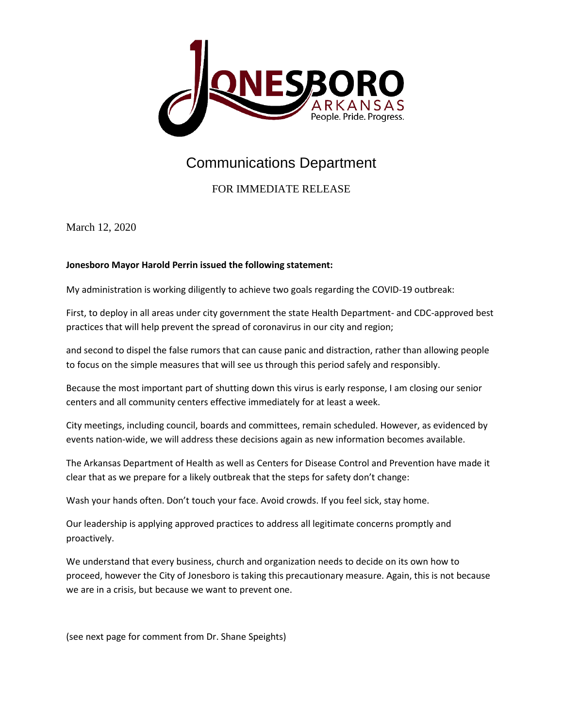

## Communications Department

## FOR IMMEDIATE RELEASE

March 12, 2020

## **Jonesboro Mayor Harold Perrin issued the following statement:**

My administration is working diligently to achieve two goals regarding the COVID-19 outbreak:

First, to deploy in all areas under city government the state Health Department- and CDC-approved best practices that will help prevent the spread of coronavirus in our city and region;

and second to dispel the false rumors that can cause panic and distraction, rather than allowing people to focus on the simple measures that will see us through this period safely and responsibly.

Because the most important part of shutting down this virus is early response, I am closing our senior centers and all community centers effective immediately for at least a week.

City meetings, including council, boards and committees, remain scheduled. However, as evidenced by events nation-wide, we will address these decisions again as new information becomes available.

The Arkansas Department of Health as well as Centers for Disease Control and Prevention have made it clear that as we prepare for a likely outbreak that the steps for safety don't change:

Wash your hands often. Don't touch your face. Avoid crowds. If you feel sick, stay home.

Our leadership is applying approved practices to address all legitimate concerns promptly and proactively.

We understand that every business, church and organization needs to decide on its own how to proceed, however the City of Jonesboro is taking this precautionary measure. Again, this is not because we are in a crisis, but because we want to prevent one.

(see next page for comment from Dr. Shane Speights)